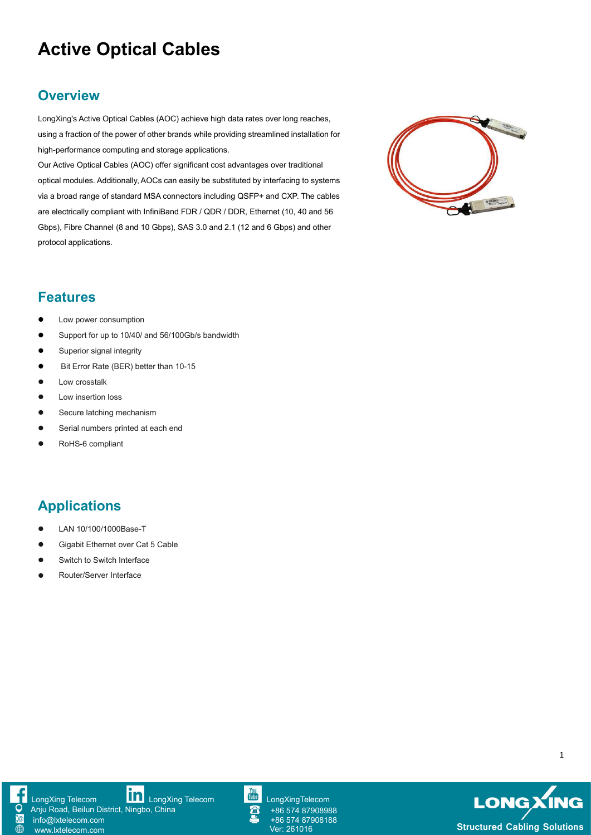# **Active Optical Cables**

#### **Overview**

LongXing's Active Optical Cables (AOC) achieve high data rates over long reaches, using a fraction of the power of other brands while providing streamlined installation for high-performance computing and storage applications.

Our Active Optical Cables (AOC) offer significant cost advantages over traditional optical modules. Additionally, AOCs can easily be substituted by interfacing to systems via a broad range of standard MSA connectors including QSFP+ and CXP. The cables are electrically compliant with InfiniBand FDR / QDR / DDR, Ethernet (10, 40 and 56 Gbps), Fibre Channel (8 and 10 Gbps), SAS 3.0 and 2.1 (12 and 6 Gbps) and other protocol applications.



#### **Features**

- Low power consumption
- Support for up to 10/40/ and 56/100Gb/s bandwidth
- **Superior signal integrity**
- Bit Error Rate (BER) better than 10-15
- Low crosstalk
- **•** Low insertion loss
- Secure latching mechanism
- **•** Serial numbers printed at each end
- RoHS-6 compliant

## **Applications**

- LAN 10/100/1000Base-T
- Gigabit Ethernet over Cat 5 Cable
- Switch to Switch Interface
- Router/Server Interface





+86 574 87908988 +86 574 87908188



1